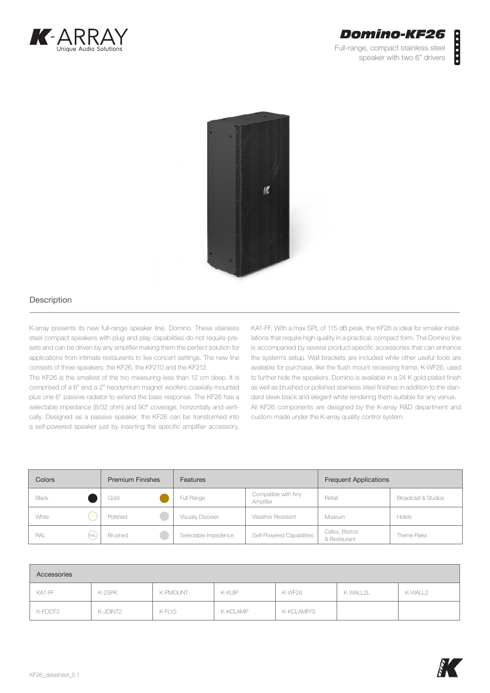





## **Description**

K-array presents its new full-range speaker line, Domino. These stainless steel compact speakers with plug and play capabilities do not require presets and can be driven by any amplifier making them the perfect solution for applications from intimate restaurants to live concert settings. The new line consists of three speakers: the KF26, the KF210 and the KF212.

The KF26 is the smallest of the trio measuring less than 12 cm deep. It is comprised of a 6" and a 2" neodymium magnet woofers coaxially mounted plus one 6" passive radiator to extend the bass response. The KF26 has a selectable impedance (8/32 ohm) and 90° coverage, horizontally and vertically. Designed as a passive speaker, the KF26 can be transformed into a self-powered speaker just by inserting the specific amplifier accessory,

KA1-FF. With a max SPL of 115 dB peak, the KF26 is ideal for smaller installations that require high quality in a practical, compact form. The Domino line is accompanied by several product-specific accessories that can enhance the system's setup. Wall brackets are included while other useful tools are available for purchase, like the flush mount recessing frame, K-WF26, used to further hide the speakers. Domino is available in a 24 K gold plated finish as well as brushed or polished stainless steel finishes in addition to the standard sleek black and elegant white rendering them suitable for any venue. All KF26 components are designed by the K-array R&D department and custom-made under the K-array quality control system.

| Colors                   | <b>Premium Finishes</b> | <b>Features</b>          |                                  | <b>Frequent Applications</b>   |                     |
|--------------------------|-------------------------|--------------------------|----------------------------------|--------------------------------|---------------------|
| Black                    | Gold                    | Full Range               | Compatible with Any<br>Amplifier | Retail                         | Broadcast & Studios |
| White                    | Polished                | <b>Visually Discreet</b> | Weather Resistent                | Museum                         | Hotels              |
| RAL<br><sup>(</sup> RAL, | Brushed                 | Selectable Impedence     | Self-Powered Capabilities        | Cafes, Bistros<br>& Restaurant | Theme Parks         |

| Accessories |          |          |          |            |          |         |
|-------------|----------|----------|----------|------------|----------|---------|
| KA1-FF      | K-2SPK   | K-PMOUNT | K-KUIP   | K-WF26     | K-WALL2L | K-WALL2 |
| K-FOOT2     | K-JOINT2 | K-FLY2   | K-KCLAMP | K-KCLAMP/S |          |         |